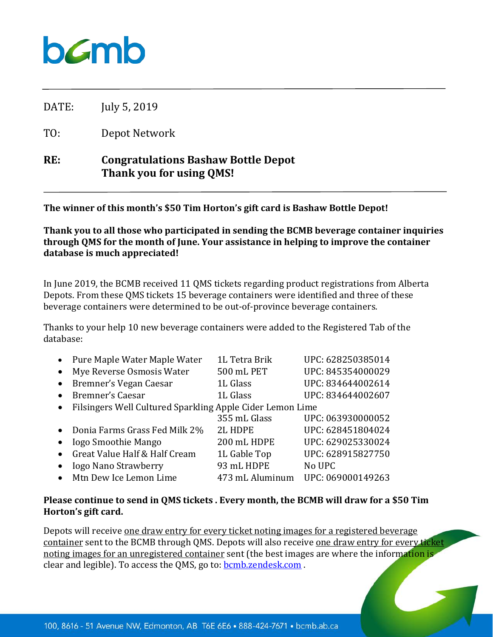## $b$ *C*mb

DATE: July 5, 2019

TO: Depot Network

## **RE: Congratulations Bashaw Bottle Depot Thank you for using QMS!**

**The winner of this month's \$50 Tim Horton's gift card is Bashaw Bottle Depot!**

**Thank you to all those who participated in sending the BCMB beverage container inquiries through QMS for the month of June. Your assistance in helping to improve the container database is much appreciated!**

In June 2019, the BCMB received 11 QMS tickets regarding product registrations from Alberta Depots. From these QMS tickets 15 beverage containers were identified and three of these beverage containers were determined to be out-of-province beverage containers.

Thanks to your help 10 new beverage containers were added to the Registered Tab of the database:

| $\bullet$ | Pure Maple Water Maple Water                              | 1L Tetra Brik   | UPC: 628250385014 |
|-----------|-----------------------------------------------------------|-----------------|-------------------|
| $\bullet$ | Mye Reverse Osmosis Water                                 | 500 mL PET      | UPC: 845354000029 |
| $\bullet$ | Bremner's Vegan Caesar                                    | 1L Glass        | UPC: 834644002614 |
| $\bullet$ | Bremner's Caesar                                          | 1L Glass        | UPC: 834644002607 |
| $\bullet$ | Filsingers Well Cultured Sparkling Apple Cider Lemon Lime |                 |                   |
|           |                                                           | 355 mL Glass    | UPC: 063930000052 |
| $\bullet$ | Donia Farms Grass Fed Milk 2%                             | <b>2L HDPE</b>  | UPC: 628451804024 |
| $\bullet$ | <b>Iogo Smoothie Mango</b>                                | 200 mL HDPE     | UPC: 629025330024 |
| $\bullet$ | Great Value Half & Half Cream                             | 1L Gable Top    | UPC: 628915827750 |
|           | <b>Iogo Nano Strawberry</b>                               | 93 mL HDPE      | No UPC            |
| $\bullet$ | Mtn Dew Ice Lemon Lime                                    | 473 mL Aluminum | UPC: 069000149263 |

## **Please continue to send in QMS tickets . Every month, the BCMB will draw for a \$50 Tim Horton's gift card.**

Depots will receive one draw entry for every ticket noting images for a registered beverage container sent to the BCMB through QMS. Depots will also receive one draw entry for every ticket noting images for an unregistered container sent (the best images are where the information is clear and legible). To access the QMS, go to: **bcmb.zendesk.com**.